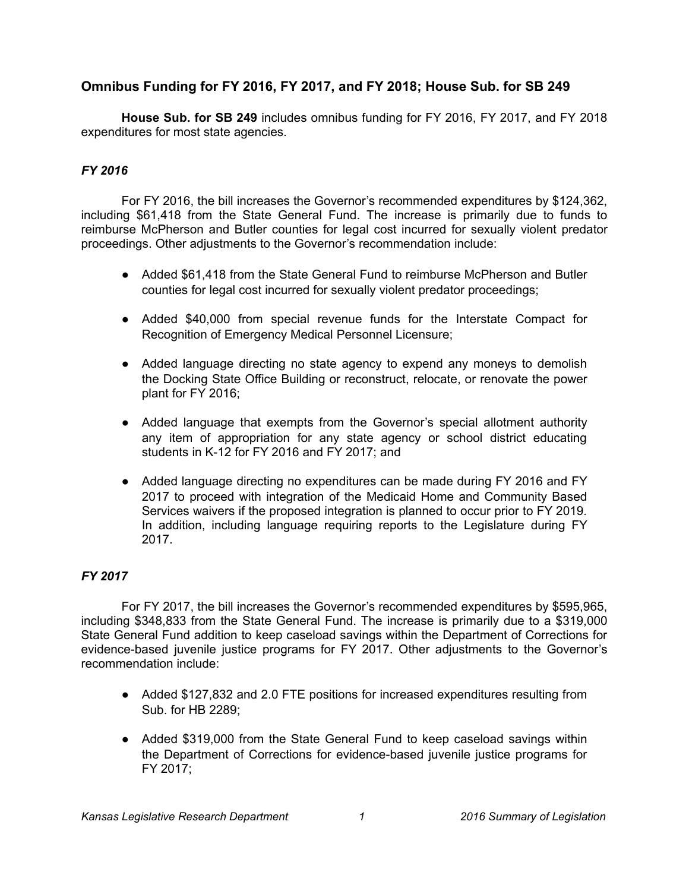## **Omnibus Funding for FY 2016, FY 2017, and FY 2018; House Sub. for SB 249**

**House Sub. for SB 249** includes omnibus funding for FY 2016, FY 2017, and FY 2018 expenditures for most state agencies.

## *FY 2016*

For FY 2016, the bill increases the Governor's recommended expenditures by \$124,362, including \$61,418 from the State General Fund. The increase is primarily due to funds to reimburse McPherson and Butler counties for legal cost incurred for sexually violent predator proceedings. Other adjustments to the Governor's recommendation include:

- Added \$61,418 from the State General Fund to reimburse McPherson and Butler counties for legal cost incurred for sexually violent predator proceedings;
- Added \$40,000 from special revenue funds for the Interstate Compact for Recognition of Emergency Medical Personnel Licensure;
- Added language directing no state agency to expend any moneys to demolish the Docking State Office Building or reconstruct, relocate, or renovate the power plant for FY 2016;
- Added language that exempts from the Governor's special allotment authority any item of appropriation for any state agency or school district educating students in K-12 for FY 2016 and FY 2017; and
- Added language directing no expenditures can be made during FY 2016 and FY 2017 to proceed with integration of the Medicaid Home and Community Based Services waivers if the proposed integration is planned to occur prior to FY 2019. In addition, including language requiring reports to the Legislature during FY 2017.

## *FY 2017*

For FY 2017, the bill increases the Governor's recommended expenditures by \$595,965, including \$348,833 from the State General Fund. The increase is primarily due to a \$319,000 State General Fund addition to keep caseload savings within the Department of Corrections for evidence-based juvenile justice programs for FY 2017. Other adjustments to the Governor's recommendation include:

- Added \$127,832 and 2.0 FTE positions for increased expenditures resulting from Sub. for HB 2289;
- Added \$319,000 from the State General Fund to keep caseload savings within the Department of Corrections for evidence-based juvenile justice programs for FY 2017;